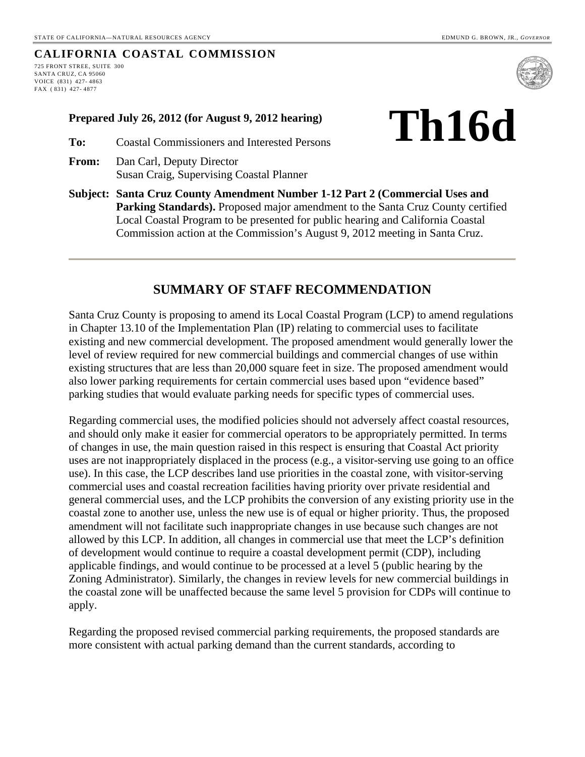#### **CALIFORNIA COASTAL COMMISSION**

725 FRONT STREE, SUITE 300 SANTA CRUZ, CA 95060 VOICE (831) 427- 4863 FAX ( 831) 427- 4877



- **Prepared July 26, 2012 (for August 9, 2012 hearing)**  $\prod_{i=1}^{n}$
- **To:** Coastal Commissioners and Interested Persons
- **From:** Dan Carl, Deputy Director Susan Craig, Supervising Coastal Planner
- **Subject: Santa Cruz County Amendment Number 1-12 Part 2 (Commercial Uses and Parking Standards).** Proposed major amendment to the Santa Cruz County certified Local Coastal Program to be presented for public hearing and California Coastal Commission action at the Commission's August 9, 2012 meeting in Santa Cruz.

# **SUMMARY OF STAFF RECOMMENDATION**

Santa Cruz County is proposing to amend its Local Coastal Program (LCP) to amend regulations in Chapter 13.10 of the Implementation Plan (IP) relating to commercial uses to facilitate existing and new commercial development. The proposed amendment would generally lower the level of review required for new commercial buildings and commercial changes of use within existing structures that are less than 20,000 square feet in size. The proposed amendment would also lower parking requirements for certain commercial uses based upon "evidence based" parking studies that would evaluate parking needs for specific types of commercial uses.

Regarding commercial uses, the modified policies should not adversely affect coastal resources, and should only make it easier for commercial operators to be appropriately permitted. In terms of changes in use, the main question raised in this respect is ensuring that Coastal Act priority uses are not inappropriately displaced in the process (e.g., a visitor-serving use going to an office use). In this case, the LCP describes land use priorities in the coastal zone, with visitor-serving commercial uses and coastal recreation facilities having priority over private residential and general commercial uses, and the LCP prohibits the conversion of any existing priority use in the coastal zone to another use, unless the new use is of equal or higher priority. Thus, the proposed amendment will not facilitate such inappropriate changes in use because such changes are not allowed by this LCP. In addition, all changes in commercial use that meet the LCP's definition of development would continue to require a coastal development permit (CDP), including applicable findings, and would continue to be processed at a level 5 (public hearing by the Zoning Administrator). Similarly, the changes in review levels for new commercial buildings in the coastal zone will be unaffected because the same level 5 provision for CDPs will continue to apply.

Regarding the proposed revised commercial parking requirements, the proposed standards are more consistent with actual parking demand than the current standards, according to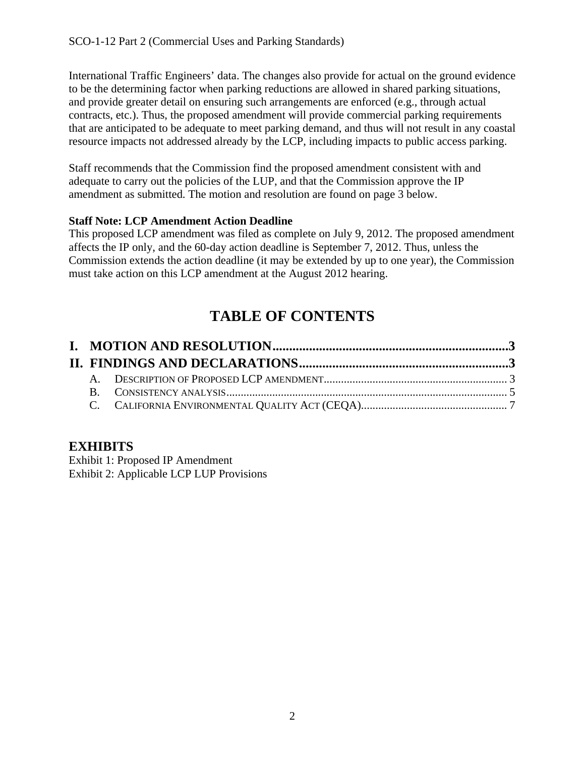International Traffic Engineers' data. The changes also provide for actual on the ground evidence to be the determining factor when parking reductions are allowed in shared parking situations, and provide greater detail on ensuring such arrangements are enforced (e.g., through actual contracts, etc.). Thus, the proposed amendment will provide commercial parking requirements that are anticipated to be adequate to meet parking demand, and thus will not result in any coastal resource impacts not addressed already by the LCP, including impacts to public access parking.

Staff recommends that the Commission find the proposed amendment consistent with and adequate to carry out the policies of the LUP, and that the Commission approve the IP amendment as submitted. The motion and resolution are found on page 3 below.

# **Staff Note: LCP Amendment Action Deadline**

This proposed LCP amendment was filed as complete on July 9, 2012. The proposed amendment affects the IP only, and the 60-day action deadline is September 7, 2012. Thus, unless the Commission extends the action deadline (it may be extended by up to one year), the Commission must take action on this LCP amendment at the August 2012 hearing.

# **TABLE OF CONTENTS**

# **EXHIBITS**

Exhibit 1: Proposed IP Amendment Exhibit 2: Applicable LCP LUP Provisions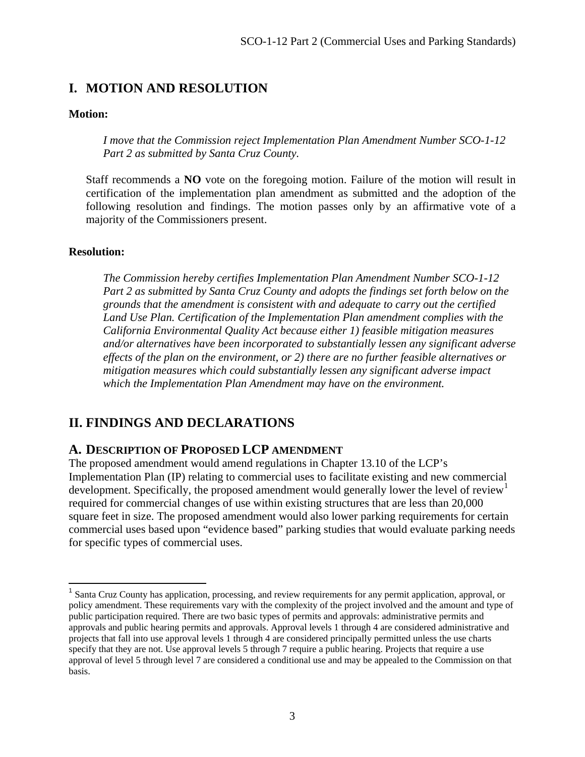# <span id="page-2-0"></span>**I. MOTION AND RESOLUTION**

#### **Motion:**

*I move that the Commission reject Implementation Plan Amendment Number SCO-1-12 Part 2 as submitted by Santa Cruz County.* 

Staff recommends a **NO** vote on the foregoing motion. Failure of the motion will result in certification of the implementation plan amendment as submitted and the adoption of the following resolution and findings. The motion passes only by an affirmative vote of a majority of the Commissioners present.

#### **Resolution:**

1

*The Commission hereby certifies Implementation Plan Amendment Number SCO-1-12 Part 2 as submitted by Santa Cruz County and adopts the findings set forth below on the grounds that the amendment is consistent with and adequate to carry out the certified Land Use Plan. Certification of the Implementation Plan amendment complies with the California Environmental Quality Act because either 1) feasible mitigation measures and/or alternatives have been incorporated to substantially lessen any significant adverse effects of the plan on the environment, or 2) there are no further feasible alternatives or mitigation measures which could substantially lessen any significant adverse impact which the Implementation Plan Amendment may have on the environment.* 

# <span id="page-2-1"></span>**II. FINDINGS AND DECLARATIONS**

# <span id="page-2-2"></span>**A. DESCRIPTION OF PROPOSED LCP AMENDMENT**

The proposed amendment would amend regulations in Chapter 13.10 of the LCP's Implementation Plan (IP) relating to commercial uses to facilitate existing and new commercial development. Specifically, the proposed amendment would generally lower the level of review<sup>[1](#page-2-3)</sup> required for commercial changes of use within existing structures that are less than 20,000 square feet in size. The proposed amendment would also lower parking requirements for certain commercial uses based upon "evidence based" parking studies that would evaluate parking needs for specific types of commercial uses.

<span id="page-2-3"></span><sup>&</sup>lt;sup>1</sup> Santa Cruz County has application, processing, and review requirements for any permit application, approval, or policy amendment. These requirements vary with the complexity of the project involved and the amount and type of public participation required. There are two basic types of permits and approvals: administrative permits and approvals and public hearing permits and approvals. Approval levels 1 through 4 are considered administrative and projects that fall into use approval levels 1 through 4 are considered principally permitted unless the use charts specify that they are not. Use approval levels 5 through 7 require a public hearing. Projects that require a use approval of level 5 through level 7 are considered a conditional use and may be appealed to the Commission on that basis.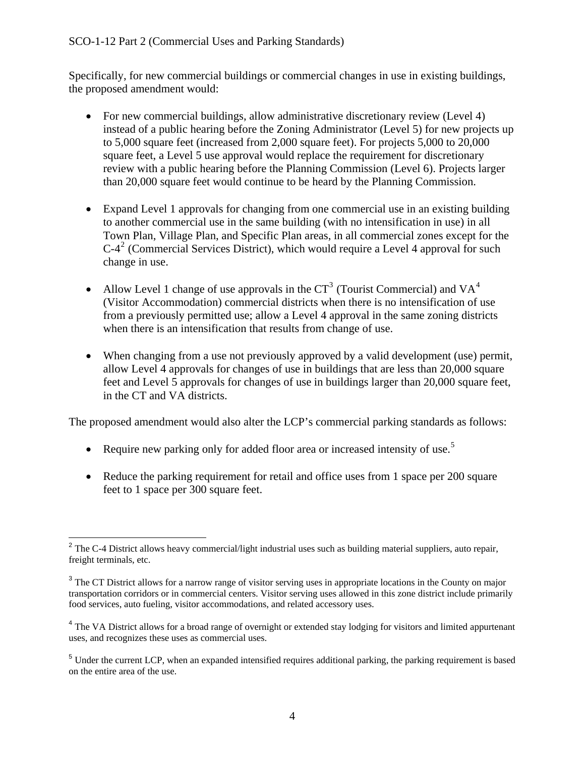Specifically, for new commercial buildings or commercial changes in use in existing buildings, the proposed amendment would:

- For new commercial buildings, allow administrative discretionary review (Level 4) instead of a public hearing before the Zoning Administrator (Level 5) for new projects up to 5,000 square feet (increased from 2,000 square feet). For projects 5,000 to 20,000 square feet, a Level 5 use approval would replace the requirement for discretionary review with a public hearing before the Planning Commission (Level 6). Projects larger than 20,000 square feet would continue to be heard by the Planning Commission.
- Expand Level 1 approvals for changing from one commercial use in an existing building to another commercial use in the same building (with no intensification in use) in all Town Plan, Village Plan, and Specific Plan areas, in all commercial zones except for the  $C-4<sup>2</sup>$  $C-4<sup>2</sup>$  $C-4<sup>2</sup>$  (Commercial Services District), which would require a Level 4 approval for such change in use.
- Allow Level 1 change of use approvals in the  $CT^3$  $CT^3$  (Tourist Commercial) and VA<sup>[4](#page-3-2)</sup> (Visitor Accommodation) commercial districts when there is no intensification of use from a previously permitted use; allow a Level 4 approval in the same zoning districts when there is an intensification that results from change of use.
- When changing from a use not previously approved by a valid development (use) permit, allow Level 4 approvals for changes of use in buildings that are less than 20,000 square feet and Level 5 approvals for changes of use in buildings larger than 20,000 square feet, in the CT and VA districts.

The proposed amendment would also alter the LCP's commercial parking standards as follows:

- Require new parking only for added floor area or increased intensity of use.<sup>[5](#page-3-3)</sup>
- Reduce the parking requirement for retail and office uses from 1 space per 200 square feet to 1 space per 300 square feet.

<span id="page-3-0"></span> $\overline{a}$  $2^2$  The C-4 District allows heavy commercial/light industrial uses such as building material suppliers, auto repair, freight terminals, etc.

<span id="page-3-1"></span><sup>&</sup>lt;sup>3</sup> The CT District allows for a narrow range of visitor serving uses in appropriate locations in the County on major transportation corridors or in commercial centers. Visitor serving uses allowed in this zone district include primarily food services, auto fueling, visitor accommodations, and related accessory uses.

<span id="page-3-2"></span><sup>&</sup>lt;sup>4</sup> The VA District allows for a broad range of overnight or extended stay lodging for visitors and limited appurtenant uses, and recognizes these uses as commercial uses.

<span id="page-3-3"></span><sup>&</sup>lt;sup>5</sup> Under the current LCP, when an expanded intensified requires additional parking, the parking requirement is based on the entire area of the use.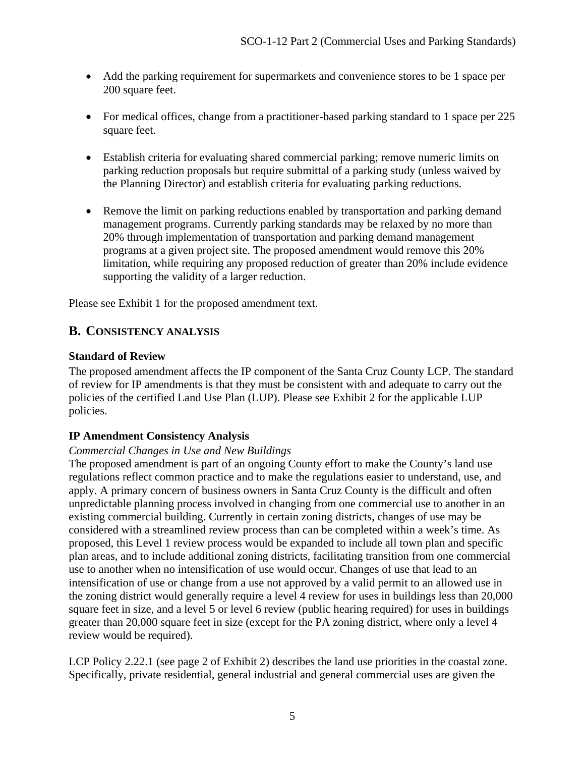- Add the parking requirement for supermarkets and convenience stores to be 1 space per 200 square feet.
- For medical offices, change from a practitioner-based parking standard to 1 space per 225 square feet.
- Establish criteria for evaluating shared commercial parking; remove numeric limits on parking reduction proposals but require submittal of a parking study (unless waived by the Planning Director) and establish criteria for evaluating parking reductions.
- Remove the limit on parking reductions enabled by transportation and parking demand management programs. Currently parking standards may be relaxed by no more than 20% through implementation of transportation and parking demand management programs at a given project site. The proposed amendment would remove this 20% limitation, while requiring any proposed reduction of greater than 20% include evidence supporting the validity of a larger reduction.

Please see Exhibit 1 for the proposed amendment text.

# <span id="page-4-0"></span>**B. CONSISTENCY ANALYSIS**

#### **Standard of Review**

The proposed amendment affects the IP component of the Santa Cruz County LCP. The standard of review for IP amendments is that they must be consistent with and adequate to carry out the policies of the certified Land Use Plan (LUP). Please see Exhibit 2 for the applicable LUP policies.

#### **IP Amendment Consistency Analysis**

#### *Commercial Changes in Use and New Buildings*

The proposed amendment is part of an ongoing County effort to make the County's land use regulations reflect common practice and to make the regulations easier to understand, use, and apply. A primary concern of business owners in Santa Cruz County is the difficult and often unpredictable planning process involved in changing from one commercial use to another in an existing commercial building. Currently in certain zoning districts, changes of use may be considered with a streamlined review process than can be completed within a week's time. As proposed, this Level 1 review process would be expanded to include all town plan and specific plan areas, and to include additional zoning districts, facilitating transition from one commercial use to another when no intensification of use would occur. Changes of use that lead to an intensification of use or change from a use not approved by a valid permit to an allowed use in the zoning district would generally require a level 4 review for uses in buildings less than 20,000 square feet in size, and a level 5 or level 6 review (public hearing required) for uses in buildings greater than 20,000 square feet in size (except for the PA zoning district, where only a level 4 review would be required).

LCP Policy 2.22.1 (see page 2 of Exhibit 2) describes the land use priorities in the coastal zone. Specifically, private residential, general industrial and general commercial uses are given the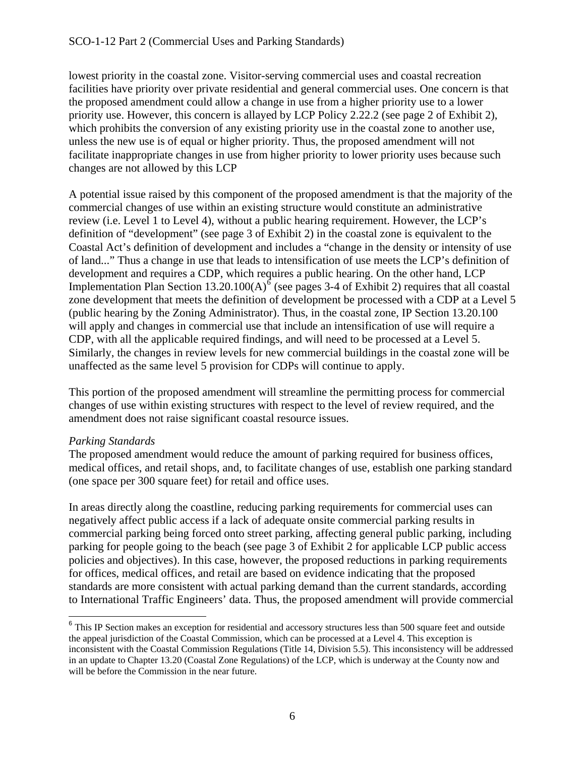lowest priority in the coastal zone. Visitor-serving commercial uses and coastal recreation facilities have priority over private residential and general commercial uses. One concern is that the proposed amendment could allow a change in use from a higher priority use to a lower priority use. However, this concern is allayed by LCP Policy 2.22.2 (see page 2 of Exhibit 2), which prohibits the conversion of any existing priority use in the coastal zone to another use, unless the new use is of equal or higher priority. Thus, the proposed amendment will not facilitate inappropriate changes in use from higher priority to lower priority uses because such changes are not allowed by this LCP

A potential issue raised by this component of the proposed amendment is that the majority of the commercial changes of use within an existing structure would constitute an administrative review (i.e. Level 1 to Level 4), without a public hearing requirement. However, the LCP's definition of "development" (see page 3 of Exhibit 2) in the coastal zone is equivalent to the Coastal Act's definition of development and includes a "change in the density or intensity of use of land..." Thus a change in use that leads to intensification of use meets the LCP's definition of development and requires a CDP, which requires a public hearing. On the other hand, LCP Implementation Plan Section 13.20.100(A)<sup>[6](#page-5-0)</sup> (see pages 3-4 of Exhibit 2) requires that all coastal zone development that meets the definition of development be processed with a CDP at a Level 5 (public hearing by the Zoning Administrator). Thus, in the coastal zone, IP Section 13.20.100 will apply and changes in commercial use that include an intensification of use will require a CDP, with all the applicable required findings, and will need to be processed at a Level 5. Similarly, the changes in review levels for new commercial buildings in the coastal zone will be unaffected as the same level 5 provision for CDPs will continue to apply.

This portion of the proposed amendment will streamline the permitting process for commercial changes of use within existing structures with respect to the level of review required, and the amendment does not raise significant coastal resource issues.

# *Parking Standards*

 $\overline{a}$ 

The proposed amendment would reduce the amount of parking required for business offices, medical offices, and retail shops, and, to facilitate changes of use, establish one parking standard (one space per 300 square feet) for retail and office uses.

In areas directly along the coastline, reducing parking requirements for commercial uses can negatively affect public access if a lack of adequate onsite commercial parking results in commercial parking being forced onto street parking, affecting general public parking, including parking for people going to the beach (see page 3 of Exhibit 2 for applicable LCP public access policies and objectives). In this case, however, the proposed reductions in parking requirements for offices, medical offices, and retail are based on evidence indicating that the proposed standards are more consistent with actual parking demand than the current standards, according to International Traffic Engineers' data. Thus, the proposed amendment will provide commercial

<span id="page-5-0"></span><sup>&</sup>lt;sup>6</sup> This IP Section makes an exception for residential and accessory structures less than 500 square feet and outside the appeal jurisdiction of the Coastal Commission, which can be processed at a Level 4. This exception is inconsistent with the Coastal Commission Regulations (Title 14, Division 5.5). This inconsistency will be addressed in an update to Chapter 13.20 (Coastal Zone Regulations) of the LCP, which is underway at the County now and will be before the Commission in the near future.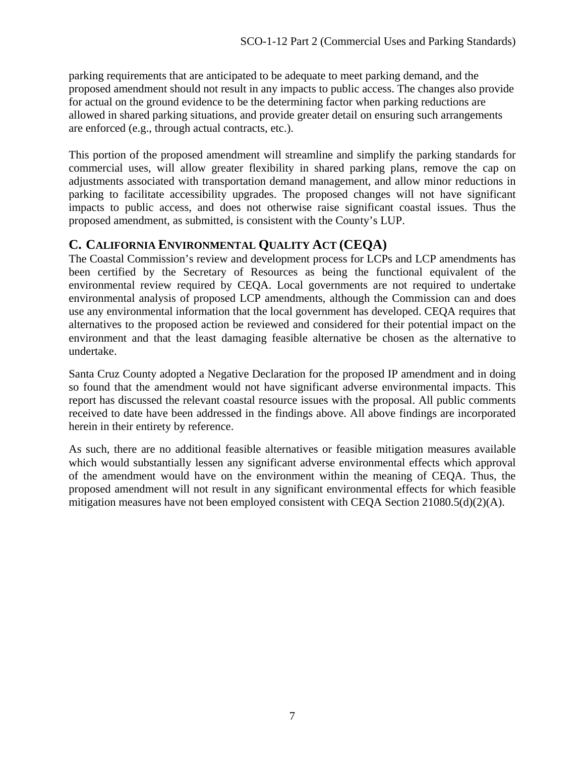parking requirements that are anticipated to be adequate to meet parking demand, and the proposed amendment should not result in any impacts to public access. The changes also provide for actual on the ground evidence to be the determining factor when parking reductions are allowed in shared parking situations, and provide greater detail on ensuring such arrangements are enforced (e.g., through actual contracts, etc.).

This portion of the proposed amendment will streamline and simplify the parking standards for commercial uses, will allow greater flexibility in shared parking plans, remove the cap on adjustments associated with transportation demand management, and allow minor reductions in parking to facilitate accessibility upgrades. The proposed changes will not have significant impacts to public access, and does not otherwise raise significant coastal issues. Thus the proposed amendment, as submitted, is consistent with the County's LUP.

# <span id="page-6-0"></span>**C. CALIFORNIA ENVIRONMENTAL QUALITY ACT (CEQA)**

The Coastal Commission's review and development process for LCPs and LCP amendments has been certified by the Secretary of Resources as being the functional equivalent of the environmental review required by CEQA. Local governments are not required to undertake environmental analysis of proposed LCP amendments, although the Commission can and does use any environmental information that the local government has developed. CEQA requires that alternatives to the proposed action be reviewed and considered for their potential impact on the environment and that the least damaging feasible alternative be chosen as the alternative to undertake.

Santa Cruz County adopted a Negative Declaration for the proposed IP amendment and in doing so found that the amendment would not have significant adverse environmental impacts. This report has discussed the relevant coastal resource issues with the proposal. All public comments received to date have been addressed in the findings above. All above findings are incorporated herein in their entirety by reference.

As such, there are no additional feasible alternatives or feasible mitigation measures available which would substantially lessen any significant adverse environmental effects which approval of the amendment would have on the environment within the meaning of CEQA. Thus, the proposed amendment will not result in any significant environmental effects for which feasible mitigation measures have not been employed consistent with CEQA Section 21080.5(d)(2)(A).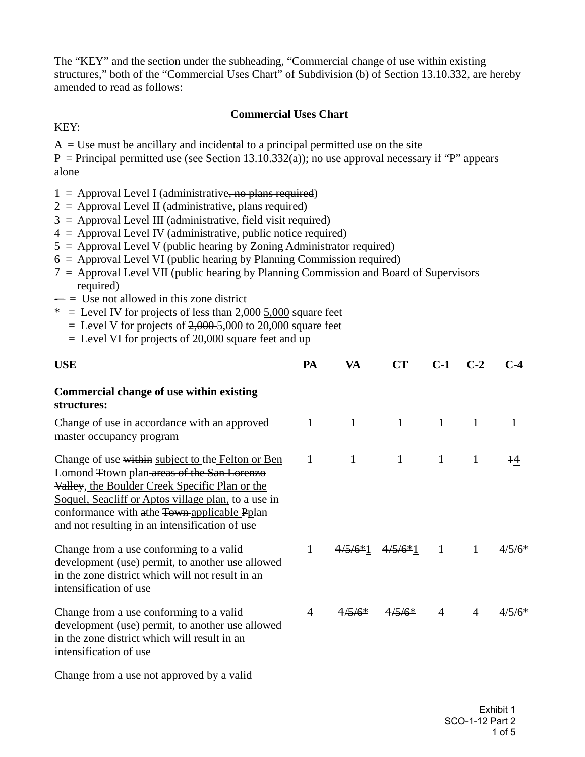The "KEY" and the section under the subheading, "Commercial change of use within existing structures," both of the "Commercial Uses Chart" of Subdivision (b) of Section 13.10.332, are hereby amended to read as follows:

#### **Commercial Uses Chart**

#### KEY:

 $A = Use must be ancillary and incidental to a principal permitted use on the site$ 

 $P = Principal$  permitted use (see Section 13.10.332(a)); no use approval necessary if "P" appears alone

- $1 =$  Approval Level I (administrative, no plans required)
- $2 =$  Approval Level II (administrative, plans required)
- $3 =$  Approval Level III (administrative, field visit required)
- $4 =$  Approval Level IV (administrative, public notice required)
- $5 =$  Approval Level V (public hearing by Zoning Administrator required)
- $6 =$  Approval Level VI (public hearing by Planning Commission required)
- 7 = Approval Level VII (public hearing by Planning Commission and Board of Supervisors required)
- $=$  Use not allowed in this zone district
- $*$  = Level IV for projects of less than  $2,000-5,000$  square feet
	- $=$  Level V for projects of  $2,000$  5,000 to 20,000 square feet
	- $=$  Level VI for projects of 20,000 square feet and up

| <b>USE</b>                                                                                                                                                                                                                                                                                                 | PA | VA           | CT           | $C-1$        | $C-2$        | $C-4$    |
|------------------------------------------------------------------------------------------------------------------------------------------------------------------------------------------------------------------------------------------------------------------------------------------------------------|----|--------------|--------------|--------------|--------------|----------|
| Commercial change of use within existing<br>structures:                                                                                                                                                                                                                                                    |    |              |              |              |              |          |
| Change of use in accordance with an approved<br>master occupancy program                                                                                                                                                                                                                                   | 1  | $\mathbf{1}$ | $\mathbf{1}$ | $\mathbf{1}$ | 1            |          |
| Change of use within subject to the Felton or Ben<br>Lomond Ttown plan areas of the San Lorenzo<br>Valley, the Boulder Creek Specific Plan or the<br>Soquel, Seacliff or Aptos village plan, to a use in<br>conformance with a the Town-applicable Pplan<br>and not resulting in an intensification of use | 1  | $\mathbf{1}$ | $\mathbf{1}$ | 1            | 1            | 14       |
| Change from a use conforming to a valid<br>development (use) permit, to another use allowed<br>in the zone district which will not result in an<br>intensification of use                                                                                                                                  | 1  | $4/5/6*1$    | $4/5/6*1$    | $\mathbf{1}$ | $\mathbf{1}$ | $4/5/6*$ |
| Change from a use conforming to a valid<br>development (use) permit, to another use allowed<br>in the zone district which will result in an<br>intensification of use                                                                                                                                      | 4  | $4/5/6*$     | $4/5/6*$     | 4            | 4            | $4/5/6*$ |
| Change from a use not approved by a valid                                                                                                                                                                                                                                                                  |    |              |              |              |              |          |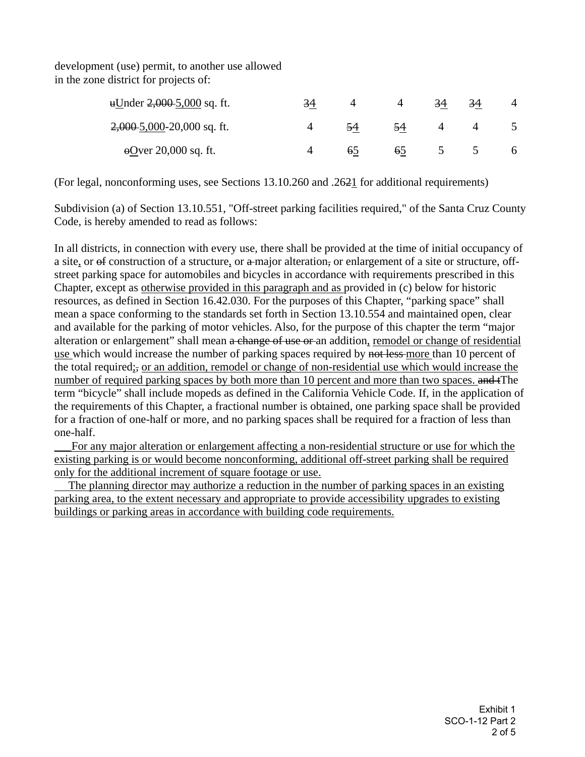development (use) permit, to another use allowed in the zone district for projects of:

| uUnder <del>2,000 5</del> ,000 sq. ft. | 34 |    |    | 34 | 34 |  |
|----------------------------------------|----|----|----|----|----|--|
| $2,000-5,000-20,000$ sq. ft.           |    | 54 | 54 |    |    |  |
| $\Theta$ over 20,000 sq. ft.           |    | 65 | 65 |    |    |  |

(For legal, nonconforming uses, see Sections 13.10.260 and .2621 for additional requirements)

Subdivision (a) of Section 13.10.551, "Off-street parking facilities required," of the Santa Cruz County Code, is hereby amended to read as follows:

In all districts, in connection with every use, there shall be provided at the time of initial occupancy of a site, or  $\Theta$  construction of a structure, or  $\theta$  a major alteration, or enlargement of a site or structure, offstreet parking space for automobiles and bicycles in accordance with requirements prescribed in this Chapter, except as otherwise provided in this paragraph and as provided in (c) below for historic resources, as defined in Section 16.42.030. For the purposes of this Chapter, "parking space" shall mean a space conforming to the standards set forth in Section 13.10.554 and maintained open, clear and available for the parking of motor vehicles. Also, for the purpose of this chapter the term "major alteration or enlargement" shall mean a change of use or an addition, remodel or change of residential use which would increase the number of parking spaces required by not less more than 10 percent of the total required;, or an addition, remodel or change of non-residential use which would increase the number of required parking spaces by both more than 10 percent and more than two spaces. and the term "bicycle" shall include mopeds as defined in the California Vehicle Code. If, in the application of the requirements of this Chapter, a fractional number is obtained, one parking space shall be provided for a fraction of one-half or more, and no parking spaces shall be required for a fraction of less than one-half.

For any major alteration or enlargement affecting a non-residential structure or use for which the existing parking is or would become nonconforming, additional off-street parking shall be required only for the additional increment of square footage or use.

 The planning director may authorize a reduction in the number of parking spaces in an existing parking area, to the extent necessary and appropriate to provide accessibility upgrades to existing buildings or parking areas in accordance with building code requirements.

> Exhibit 1 SCO-1-12 Part 2 2 of 5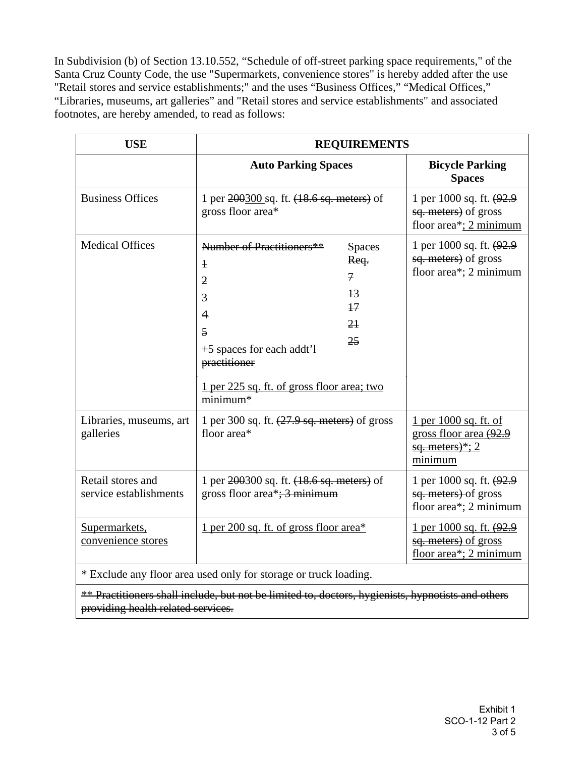In Subdivision (b) of Section 13.10.552, "Schedule of off-street parking space requirements," of the Santa Cruz County Code, the use "Supermarkets, convenience stores" is hereby added after the use "Retail stores and service establishments;" and the uses "Business Offices," "Medical Offices," "Libraries, museums, art galleries" and "Retail stores and service establishments" and associated footnotes, are hereby amended, to read as follows:

| <b>USE</b>                                                       | <b>REQUIREMENTS</b>                                                                                                                                                                                                                                                  |                       |                                                                                       |  |  |
|------------------------------------------------------------------|----------------------------------------------------------------------------------------------------------------------------------------------------------------------------------------------------------------------------------------------------------------------|-----------------------|---------------------------------------------------------------------------------------|--|--|
|                                                                  | <b>Auto Parking Spaces</b>                                                                                                                                                                                                                                           |                       | <b>Bicycle Parking</b><br><b>Spaces</b>                                               |  |  |
| <b>Business Offices</b>                                          | 1 per 200300 sq. ft. (18.6 sq. meters) of<br>gross floor area*                                                                                                                                                                                                       |                       | 1 per 1000 sq. ft. (92.9)<br>sq. meters) of gross<br>floor area*; $2$ minimum         |  |  |
| <b>Medical Offices</b>                                           | Number of Practitioners**<br>$\overline{1}$<br>$\mathcal{I}$<br>$\overline{2}$<br>$+3$<br>$\overline{3}$<br>17<br>$\overline{4}$<br>2 <sub>1</sub><br>5<br>25<br>+5 spaces for each addt'l<br>practitioner<br>1 per 225 sq. ft. of gross floor area; two<br>minimum* | <b>Spaces</b><br>Req. | 1 per 1000 sq. ft. (92.9)<br>sq. meters) of gross<br>floor area*; 2 minimum           |  |  |
| Libraries, museums, art<br>galleries                             | 1 per 300 sq. ft. $(27.9 \text{ sq. meters})$ of gross<br>floor area*                                                                                                                                                                                                |                       | 1 per 1000 sq. ft. of<br>gross floor area (92.9<br>$\frac{sq.$ meters)*; 2<br>minimum |  |  |
| Retail stores and<br>service establishments                      | 1 per 200300 sq. ft. (18.6 sq. meters) of<br>gross floor area*; $\frac{3}{2}$ minimum                                                                                                                                                                                |                       | 1 per 1000 sq. ft. (92.9)<br>sq. meters) of gross<br>floor area*; 2 minimum           |  |  |
| Supermarkets,<br>convenience stores                              | 1 per 200 sq. ft. of gross floor area*                                                                                                                                                                                                                               |                       | <u>1 per 1000 sq. ft. (92.9</u><br>sq. meters) of gross<br>floor area*; 2 minimum     |  |  |
| * Exclude any floor area used only for storage or truck loading. |                                                                                                                                                                                                                                                                      |                       |                                                                                       |  |  |

\*\* Practitioners shall include, but not be limited to, doctors, hygienists, hypnotists and others providing health related services.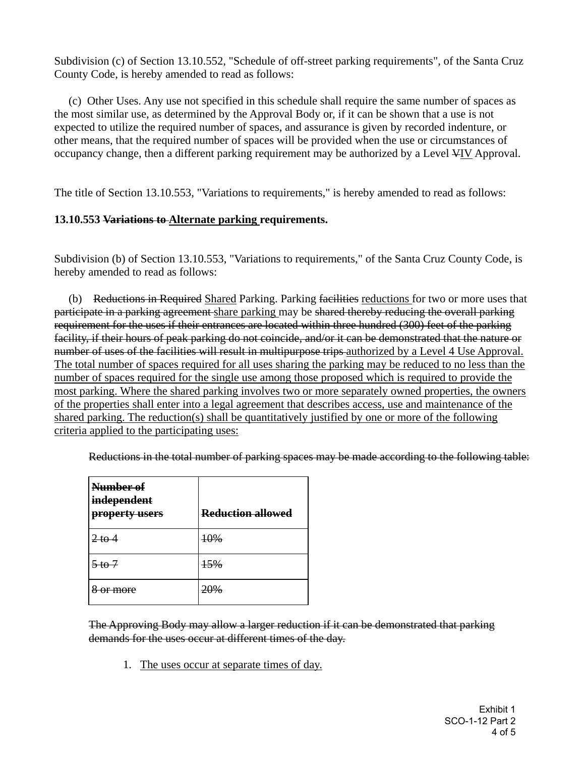Subdivision (c) of Section 13.10.552, "Schedule of off-street parking requirements", of the Santa Cruz County Code, is hereby amended to read as follows:

 (c) Other Uses. Any use not specified in this schedule shall require the same number of spaces as the most similar use, as determined by the Approval Body or, if it can be shown that a use is not expected to utilize the required number of spaces, and assurance is given by recorded indenture, or other means, that the required number of spaces will be provided when the use or circumstances of occupancy change, then a different parking requirement may be authorized by a Level VIV Approval.

The title of Section 13.10.553, "Variations to requirements," is hereby amended to read as follows:

#### **13.10.553 Variations to Alternate parking requirements.**

Subdivision (b) of Section 13.10.553, "Variations to requirements," of the Santa Cruz County Code, is hereby amended to read as follows:

(b) Reductions in Required Shared Parking. Parking facilities reductions for two or more uses that participate in a parking agreement share parking may be shared thereby reducing the overall parking requirement for the uses if their entrances are located within three hundred (300) feet of the parking facility, if their hours of peak parking do not coincide, and/or it can be demonstrated that the nature or number of uses of the facilities will result in multipurpose trips authorized by a Level 4 Use Approval. The total number of spaces required for all uses sharing the parking may be reduced to no less than the number of spaces required for the single use among those proposed which is required to provide the most parking. Where the shared parking involves two or more separately owned properties, the owners of the properties shall enter into a legal agreement that describes access, use and maintenance of the shared parking. The reduction(s) shall be quantitatively justified by one or more of the following criteria applied to the participating uses:

|  | $\alpha$ Reductions in the total number of parking spaces may be made according to the following table: |  |
|--|---------------------------------------------------------------------------------------------------------|--|
|  | Reductions in the total number of parking spaces may be made according to the following table.          |  |
|  |                                                                                                         |  |

| Number of<br>independent<br>property users | <b>Reduction allowed</b> |
|--------------------------------------------|--------------------------|
| $2$ to $4$                                 | <del>10%</del>           |
| <del>5 to 7</del>                          | 15%                      |
| <del>or more</del>                         | 20%                      |

The Approving Body may allow a larger reduction if it can be demonstrated that parking demands for the uses occur at different times of the day.

1. The uses occur at separate times of day.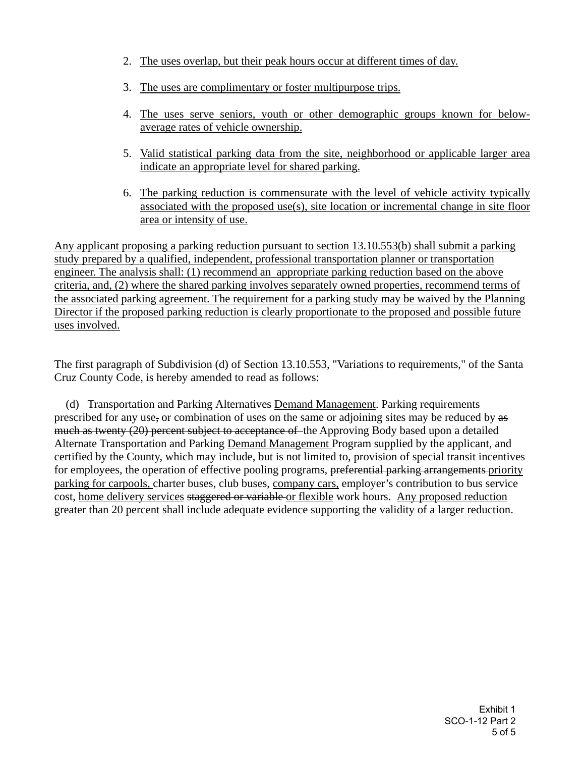- 2. The uses overlap, but their peak hours occur at different times of day.
- 3. The uses are complimentary or foster multipurpose trips.
- 4. The uses serve seniors, youth or other demographic groups known for belowaverage rates of vehicle ownership.
- 5. Valid statistical parking data from the site, neighborhood or applicable larger area indicate an appropriate level for shared parking.
- 6. The parking reduction is commensurate with the level of vehicle activity typically associated with the proposed use(s), site location or incremental change in site floor area or intensity of use.

Any applicant proposing a parking reduction pursuant to section 13.10.553(b) shall submit a parking study prepared by a qualified, independent, professional transportation planner or transportation engineer. The analysis shall: (1) recommend an appropriate parking reduction based on the above criteria, and, (2) where the shared parking involves separately owned properties, recommend terms of the associated parking agreement. The requirement for a parking study may be waived by the Planning Director if the proposed parking reduction is clearly proportionate to the proposed and possible future uses involved.

The first paragraph of Subdivision (d) of Section 13.10.553, "Variations to requirements," of the Santa Cruz County Code, is hereby amended to read as follows:

 (d) Transportation and Parking Alternatives Demand Management. Parking requirements prescribed for any use, or combination of uses on the same or adjoining sites may be reduced by as much as twenty (20) percent subject to acceptance of the Approving Body based upon a detailed Alternate Transportation and Parking Demand Management Program supplied by the applicant, and certified by the County, which may include, but is not limited to, provision of special transit incentives for employees, the operation of effective pooling programs, preferential parking arrangements priority parking for carpools, charter buses, club buses, company cars, employer's contribution to bus service cost, home delivery services staggered or variable or flexible work hours. Any proposed reduction greater than 20 percent shall include adequate evidence supporting the validity of a larger reduction.

> Exhibit 1 SCO-1-12 Part 2 5 of 5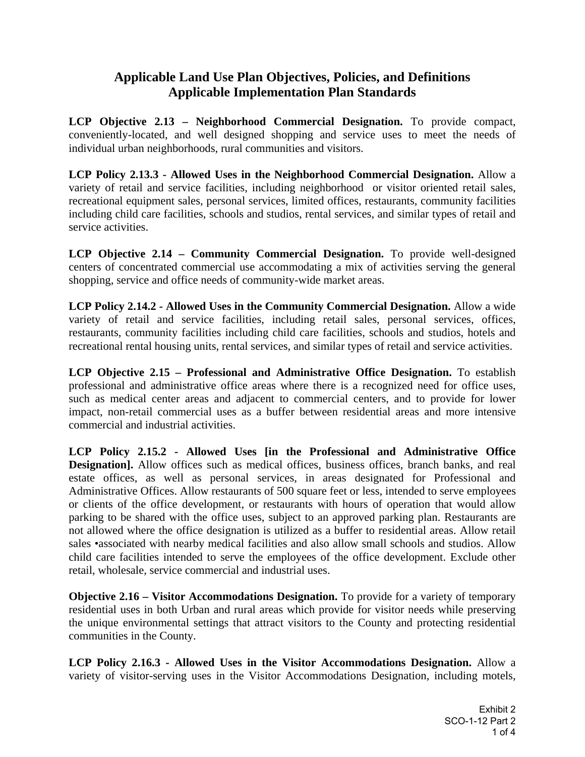# **Applicable Land Use Plan Objectives, Policies, and Definitions Applicable Implementation Plan Standards**

**LCP Objective 2.13 – Neighborhood Commercial Designation.** To provide compact, conveniently-located, and well designed shopping and service uses to meet the needs of individual urban neighborhoods, rural communities and visitors.

**LCP Policy 2.13.3 - Allowed Uses in the Neighborhood Commercial Designation.** Allow a variety of retail and service facilities, including neighborhood or visitor oriented retail sales, recreational equipment sales, personal services, limited offices, restaurants, community facilities including child care facilities, schools and studios, rental services, and similar types of retail and service activities.

**LCP Objective 2.14 – Community Commercial Designation.** To provide well-designed centers of concentrated commercial use accommodating a mix of activities serving the general shopping, service and office needs of community-wide market areas.

**LCP Policy 2.14.2 - Allowed Uses in the Community Commercial Designation.** Allow a wide variety of retail and service facilities, including retail sales, personal services, offices, restaurants, community facilities including child care facilities, schools and studios, hotels and recreational rental housing units, rental services, and similar types of retail and service activities.

**LCP Objective 2.15 – Professional and Administrative Office Designation.** To establish professional and administrative office areas where there is a recognized need for office uses, such as medical center areas and adjacent to commercial centers, and to provide for lower impact, non-retail commercial uses as a buffer between residential areas and more intensive commercial and industrial activities.

**LCP Policy 2.15.2 - Allowed Uses [in the Professional and Administrative Office Designation**]. Allow offices such as medical offices, business offices, branch banks, and real estate offices, as well as personal services, in areas designated for Professional and Administrative Offices. Allow restaurants of 500 square feet or less, intended to serve employees or clients of the office development, or restaurants with hours of operation that would allow parking to be shared with the office uses, subject to an approved parking plan. Restaurants are not allowed where the office designation is utilized as a buffer to residential areas. Allow retail sales •associated with nearby medical facilities and also allow small schools and studios. Allow child care facilities intended to serve the employees of the office development. Exclude other retail, wholesale, service commercial and industrial uses.

**Objective 2.16 – Visitor Accommodations Designation.** To provide for a variety of temporary residential uses in both Urban and rural areas which provide for visitor needs while preserving the unique environmental settings that attract visitors to the County and protecting residential communities in the County.

**LCP Policy 2.16.3 - Allowed Uses in the Visitor Accommodations Designation.** Allow a variety of visitor-serving uses in the Visitor Accommodations Designation, including motels,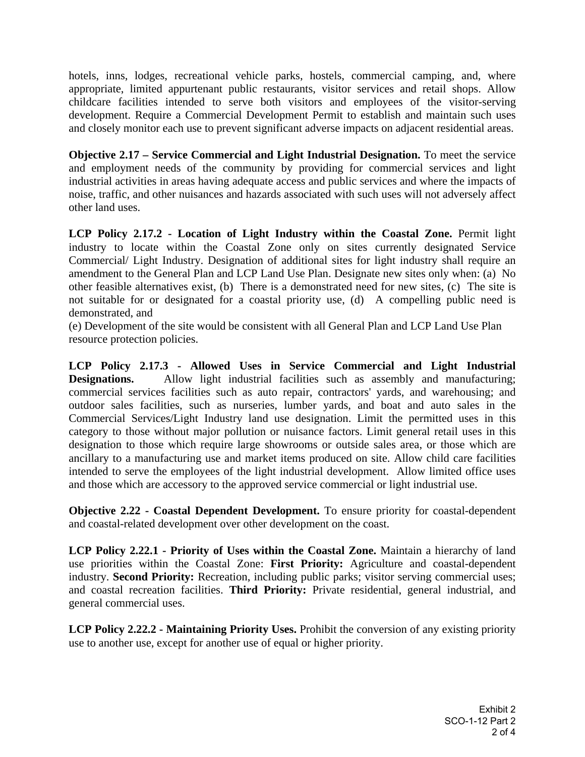hotels, inns, lodges, recreational vehicle parks, hostels, commercial camping, and, where appropriate, limited appurtenant public restaurants, visitor services and retail shops. Allow childcare facilities intended to serve both visitors and employees of the visitor-serving development. Require a Commercial Development Permit to establish and maintain such uses and closely monitor each use to prevent significant adverse impacts on adjacent residential areas.

**Objective 2.17 – Service Commercial and Light Industrial Designation.** To meet the service and employment needs of the community by providing for commercial services and light industrial activities in areas having adequate access and public services and where the impacts of noise, traffic, and other nuisances and hazards associated with such uses will not adversely affect other land uses.

**LCP Policy 2.17.2 - Location of Light Industry within the Coastal Zone.** Permit light industry to locate within the Coastal Zone only on sites currently designated Service Commercial/ Light Industry. Designation of additional sites for light industry shall require an amendment to the General Plan and LCP Land Use Plan. Designate new sites only when: (a) No other feasible alternatives exist, (b) There is a demonstrated need for new sites, (c) The site is not suitable for or designated for a coastal priority use, (d) A compelling public need is demonstrated, and

(e) Development of the site would be consistent with all General Plan and LCP Land Use Plan resource protection policies.

**LCP Policy 2.17.3 - Allowed Uses in Service Commercial and Light Industrial Designations.** Allow light industrial facilities such as assembly and manufacturing; commercial services facilities such as auto repair, contractors' yards, and warehousing; and outdoor sales facilities, such as nurseries, lumber yards, and boat and auto sales in the Commercial Services/Light Industry land use designation. Limit the permitted uses in this category to those without major pollution or nuisance factors. Limit general retail uses in this designation to those which require large showrooms or outside sales area, or those which are ancillary to a manufacturing use and market items produced on site. Allow child care facilities intended to serve the employees of the light industrial development. Allow limited office uses and those which are accessory to the approved service commercial or light industrial use.

**Objective 2.22 - Coastal Dependent Development.** To ensure priority for coastal-dependent and coastal-related development over other development on the coast.

**LCP Policy 2.22.1 - Priority of Uses within the Coastal Zone.** Maintain a hierarchy of land use priorities within the Coastal Zone: **First Priority:** Agriculture and coastal-dependent industry. **Second Priority:** Recreation, including public parks; visitor serving commercial uses; and coastal recreation facilities. **Third Priority:** Private residential, general industrial, and general commercial uses.

**LCP Policy 2.22.2 - Maintaining Priority Uses.** Prohibit the conversion of any existing priority use to another use, except for another use of equal or higher priority.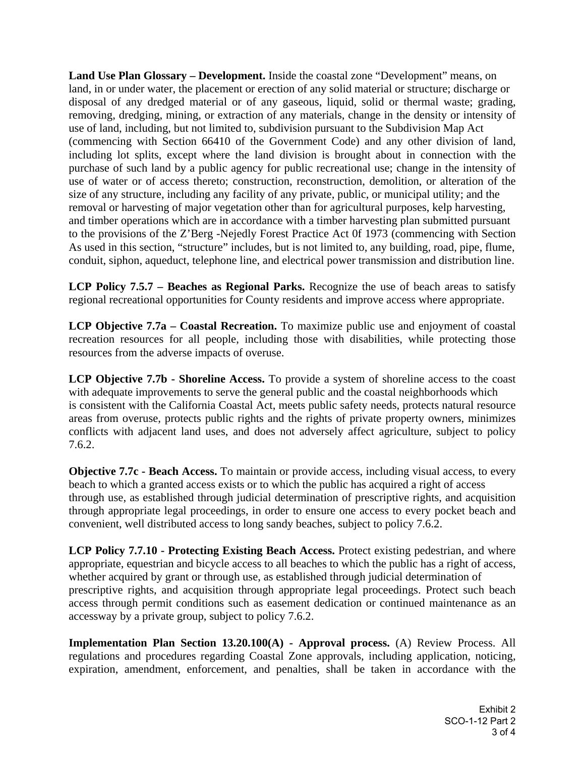**Land Use Plan Glossary – Development.** Inside the coastal zone "Development" means, on land, in or under water, the placement or erection of any solid material or structure; discharge or disposal of any dredged material or of any gaseous, liquid, solid or thermal waste; grading, removing, dredging, mining, or extraction of any materials, change in the density or intensity of use of land, including, but not limited to, subdivision pursuant to the Subdivision Map Act (commencing with Section 66410 of the Government Code) and any other division of land, including lot splits, except where the land division is brought about in connection with the purchase of such land by a public agency for public recreational use; change in the intensity of use of water or of access thereto; construction, reconstruction, demolition, or alteration of the size of any structure, including any facility of any private, public, or municipal utility; and the removal or harvesting of major vegetation other than for agricultural purposes, kelp harvesting, and timber operations which are in accordance with a timber harvesting plan submitted pursuant to the provisions of the Z'Berg -Nejedly Forest Practice Act 0f 1973 (commencing with Section As used in this section, "structure" includes, but is not limited to, any building, road, pipe, flume, conduit, siphon, aqueduct, telephone line, and electrical power transmission and distribution line.

**LCP Policy 7.5.7 – Beaches as Regional Parks.** Recognize the use of beach areas to satisfy regional recreational opportunities for County residents and improve access where appropriate.

**LCP Objective 7.7a – Coastal Recreation.** To maximize public use and enjoyment of coastal recreation resources for all people, including those with disabilities, while protecting those resources from the adverse impacts of overuse.

**LCP Objective 7.7b - Shoreline Access.** To provide a system of shoreline access to the coast with adequate improvements to serve the general public and the coastal neighborhoods which is consistent with the California Coastal Act, meets public safety needs, protects natural resource areas from overuse, protects public rights and the rights of private property owners, minimizes conflicts with adjacent land uses, and does not adversely affect agriculture, subject to policy 7.6.2.

**Objective 7.7c - Beach Access.** To maintain or provide access, including visual access, to every beach to which a granted access exists or to which the public has acquired a right of access through use, as established through judicial determination of prescriptive rights, and acquisition through appropriate legal proceedings, in order to ensure one access to every pocket beach and convenient, well distributed access to long sandy beaches, subject to policy 7.6.2.

**LCP Policy 7.7.10 - Protecting Existing Beach Access.** Protect existing pedestrian, and where appropriate, equestrian and bicycle access to all beaches to which the public has a right of access, whether acquired by grant or through use, as established through judicial determination of prescriptive rights, and acquisition through appropriate legal proceedings. Protect such beach access through permit conditions such as easement dedication or continued maintenance as an accessway by a private group, subject to policy 7.6.2.

**Implementation Plan Section 13.20.100(A) - Approval process.** (A) Review Process. All regulations and procedures regarding Coastal Zone approvals, including application, noticing, expiration, amendment, enforcement, and penalties, shall be taken in accordance with the